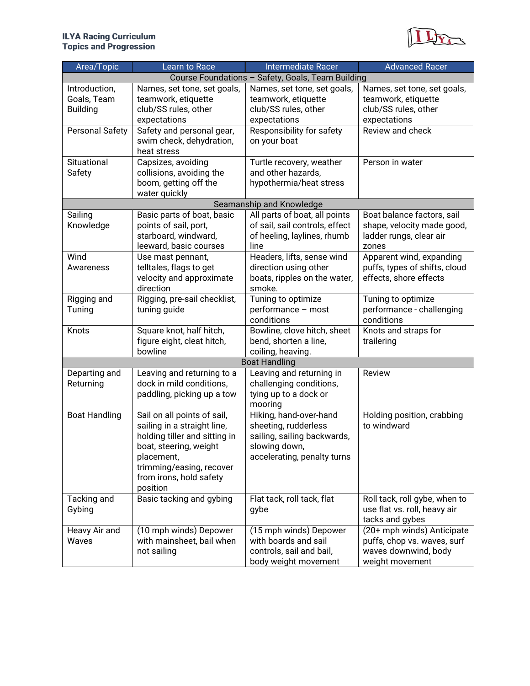## ILYA Racing Curriculum Topics and Progression



| Area/Topic                                      | Learn to Race                                                                                                                                                                                          | <b>Intermediate Racer</b>                                                                                                     | <b>Advanced Racer</b>                                                                                |
|-------------------------------------------------|--------------------------------------------------------------------------------------------------------------------------------------------------------------------------------------------------------|-------------------------------------------------------------------------------------------------------------------------------|------------------------------------------------------------------------------------------------------|
|                                                 |                                                                                                                                                                                                        | Course Foundations - Safety, Goals, Team Building                                                                             |                                                                                                      |
| Introduction,<br>Goals, Team<br><b>Building</b> | Names, set tone, set goals,<br>teamwork, etiquette<br>club/SS rules, other<br>expectations                                                                                                             | Names, set tone, set goals,<br>teamwork, etiquette<br>club/SS rules, other<br>expectations                                    | Names, set tone, set goals,<br>teamwork, etiquette<br>club/SS rules, other<br>expectations           |
| Personal Safety                                 | Safety and personal gear,<br>swim check, dehydration,<br>heat stress                                                                                                                                   | Responsibility for safety<br>on your boat                                                                                     | Review and check                                                                                     |
| Situational<br>Safety                           | Capsizes, avoiding<br>collisions, avoiding the<br>boom, getting off the<br>water quickly                                                                                                               | Turtle recovery, weather<br>and other hazards,<br>hypothermia/heat stress                                                     | Person in water                                                                                      |
|                                                 |                                                                                                                                                                                                        | Seamanship and Knowledge                                                                                                      |                                                                                                      |
| Sailing<br>Knowledge                            | Basic parts of boat, basic<br>points of sail, port,<br>starboard, windward,<br>leeward, basic courses                                                                                                  | All parts of boat, all points<br>of sail, sail controls, effect<br>of heeling, laylines, rhumb<br>line                        | Boat balance factors, sail<br>shape, velocity made good,<br>ladder rungs, clear air<br>zones         |
| Wind<br>Awareness                               | Use mast pennant,<br>telltales, flags to get<br>velocity and approximate<br>direction                                                                                                                  | Headers, lifts, sense wind<br>direction using other<br>boats, ripples on the water,<br>smoke.                                 | Apparent wind, expanding<br>puffs, types of shifts, cloud<br>effects, shore effects                  |
| Rigging and<br>Tuning                           | Rigging, pre-sail checklist,<br>tuning guide                                                                                                                                                           | Tuning to optimize<br>performance - most<br>conditions                                                                        | Tuning to optimize<br>performance - challenging<br>conditions                                        |
| Knots                                           | Square knot, half hitch,<br>figure eight, cleat hitch,<br>bowline                                                                                                                                      | Bowline, clove hitch, sheet<br>bend, shorten a line,<br>coiling, heaving.                                                     | Knots and straps for<br>trailering                                                                   |
|                                                 |                                                                                                                                                                                                        | <b>Boat Handling</b>                                                                                                          |                                                                                                      |
| Departing and<br>Returning                      | Leaving and returning to a<br>dock in mild conditions,<br>paddling, picking up a tow                                                                                                                   | Leaving and returning in<br>challenging conditions,<br>tying up to a dock or<br>mooring                                       | Review                                                                                               |
| <b>Boat Handling</b>                            | Sail on all points of sail,<br>sailing in a straight line,<br>holding tiller and sitting in<br>boat, steering, weight<br>placement,<br>trimming/easing, recover<br>from irons, hold safety<br>position | Hiking, hand-over-hand<br>sheeting, rudderless<br>sailing, sailing backwards,<br>slowing down,<br>accelerating, penalty turns | Holding position, crabbing<br>to windward                                                            |
| Tacking and<br>Gybing                           | Basic tacking and gybing                                                                                                                                                                               | Flat tack, roll tack, flat<br>gybe                                                                                            | Roll tack, roll gybe, when to<br>use flat vs. roll, heavy air<br>tacks and gybes                     |
| Heavy Air and<br>Waves                          | (10 mph winds) Depower<br>with mainsheet, bail when<br>not sailing                                                                                                                                     | (15 mph winds) Depower<br>with boards and sail<br>controls, sail and bail,<br>body weight movement                            | (20+ mph winds) Anticipate<br>puffs, chop vs. waves, surf<br>waves downwind, body<br>weight movement |